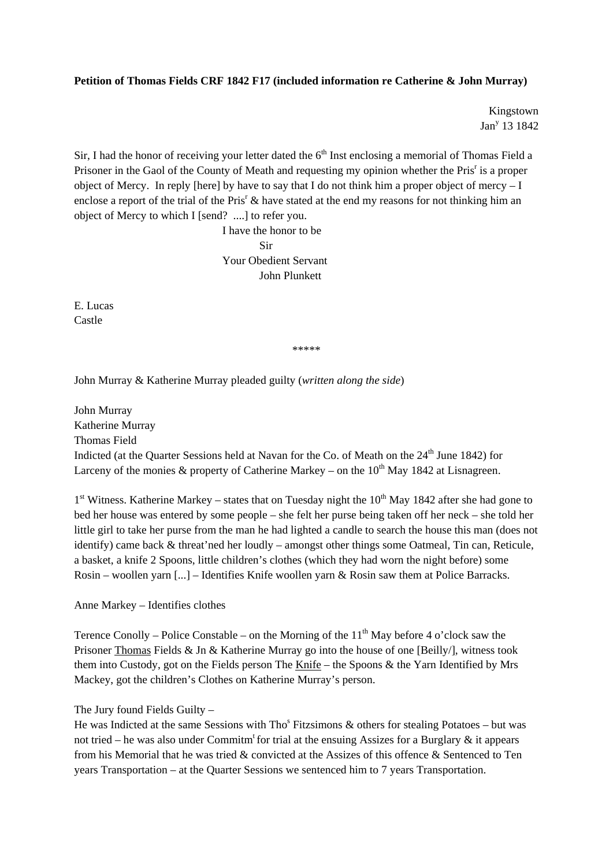## **Petition of Thomas Fields CRF 1842 F17 (included information re Catherine & John Murray)**

Kingstown Jan<sup>y</sup> 13 1842

Sir, I had the honor of receiving your letter dated the  $6<sup>th</sup>$  Inst enclosing a memorial of Thomas Field a Prisoner in the Gaol of the County of Meath and requesting my opinion whether the Pris<sup>r</sup> is a proper object of Mercy. In reply [here] by have to say that I do not think him a proper object of mercy  $-I$ enclose a report of the trial of the Pris<sup>r</sup>  $\&$  have stated at the end my reasons for not thinking him an object of Mercy to which I [send? ....] to refer you.

 I have the honor to be **Sir**  Your Obedient Servant John Plunkett

E. Lucas Castle

\*\*\*\*\*

John Murray & Katherine Murray pleaded guilty (*written along the side*)

John Murray Katherine Murray Thomas Field Indicted (at the Quarter Sessions held at Navan for the Co. of Meath on the 24<sup>th</sup> June 1842) for Larceny of the monies  $\&$  property of Catherine Markey – on the 10<sup>th</sup> May 1842 at Lisnagreen.

 $1<sup>st</sup>$  Witness. Katherine Markey – states that on Tuesday night the  $10<sup>th</sup>$  May 1842 after she had gone to bed her house was entered by some people – she felt her purse being taken off her neck – she told her little girl to take her purse from the man he had lighted a candle to search the house this man (does not identify) came back & threat'ned her loudly – amongst other things some Oatmeal, Tin can, Reticule, a basket, a knife 2 Spoons, little children's clothes (which they had worn the night before) some Rosin – woollen yarn [...] – Identifies Knife woollen yarn & Rosin saw them at Police Barracks.

Anne Markey – Identifies clothes

Terence Conolly – Police Constable – on the Morning of the  $11<sup>th</sup>$  May before 4 o'clock saw the Prisoner Thomas Fields & Jn & Katherine Murray go into the house of one [Beilly/], witness took them into Custody, got on the Fields person The Knife – the Spoons & the Yarn Identified by Mrs Mackey, got the children's Clothes on Katherine Murray's person.

## The Jury found Fields Guilty –

He was Indicted at the same Sessions with Tho<sup>s</sup> Fitzsimons  $\&$  others for stealing Potatoes – but was not tried – he was also under Commitm<sup>t</sup> for trial at the ensuing Assizes for a Burglary  $\&$  it appears from his Memorial that he was tried & convicted at the Assizes of this offence & Sentenced to Ten years Transportation – at the Quarter Sessions we sentenced him to 7 years Transportation.